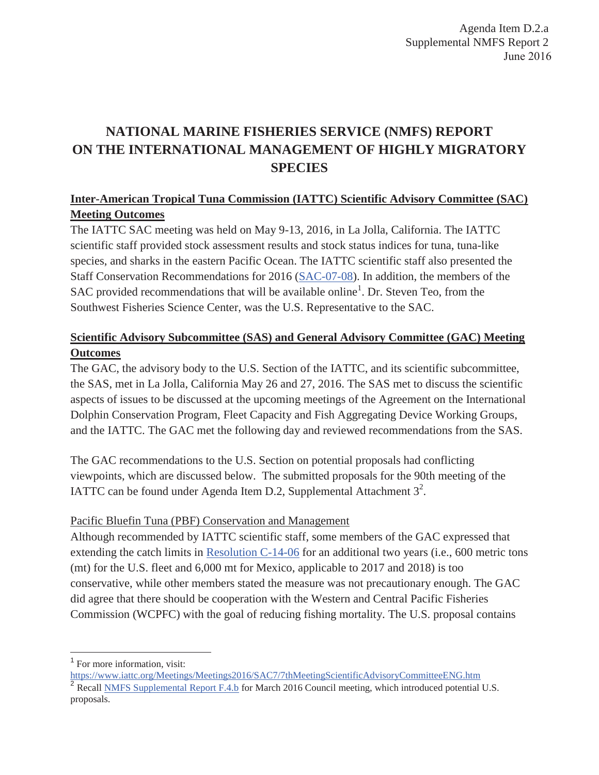# **NATIONAL MARINE FISHERIES SERVICE (NMFS) REPORT ON THE INTERNATIONAL MANAGEMENT OF HIGHLY MIGRATORY SPECIES**

# **Inter-American Tropical Tuna Commission (IATTC) Scientific Advisory Committee (SAC) Meeting Outcomes**

The IATTC SAC meeting was held on May 9-13, 2016, in La Jolla, California. The IATTC scientific staff provided stock assessment results and stock status indices for tuna, tuna-like species, and sharks in the eastern Pacific Ocean. The IATTC scientific staff also presented the Staff Conservation Recommendations for 2016 (SAC-07-08). In addition, the members of the SAC provided recommendations that will be available online<sup>1</sup>. Dr. Steven Teo, from the Southwest Fisheries Science Center, was the U.S. Representative to the SAC.

# **Scientific Advisory Subcommittee (SAS) and General Advisory Committee (GAC) Meeting Outcomes**

The GAC, the advisory body to the U.S. Section of the IATTC, and its scientific subcommittee, the SAS, met in La Jolla, California May 26 and 27, 2016. The SAS met to discuss the scientific aspects of issues to be discussed at the upcoming meetings of the Agreement on the International Dolphin Conservation Program, Fleet Capacity and Fish Aggregating Device Working Groups, and the IATTC. The GAC met the following day and reviewed recommendations from the SAS.

The GAC recommendations to the U.S. Section on potential proposals had conflicting viewpoints, which are discussed below. The submitted proposals for the 90th meeting of the IATTC can be found under Agenda Item D.2, Supplemental Attachment  $3^2$ .

## Pacific Bluefin Tuna (PBF) Conservation and Management

Although recommended by IATTC scientific staff, some members of the GAC expressed that extending the catch limits in Resolution C-14-06 for an additional two years (i.e., 600 metric tons (mt) for the U.S. fleet and 6,000 mt for Mexico, applicable to 2017 and 2018) is too conservative, while other members stated the measure was not precautionary enough. The GAC did agree that there should be cooperation with the Western and Central Pacific Fisheries Commission (WCPFC) with the goal of reducing fishing mortality. The U.S. proposal contains

<sup>&</sup>lt;sup>1</sup> For more information, visit:

https://www.iattc.org/Meetings/Meetings2016/SAC7/7thMeetingScientificAdvisoryCommitteeENG.htm <sup>2</sup> Recall <u>NMFS Supplemental Report F.4.b</u> for March 2016 Council meeting, which introduced potential U.S. proposals.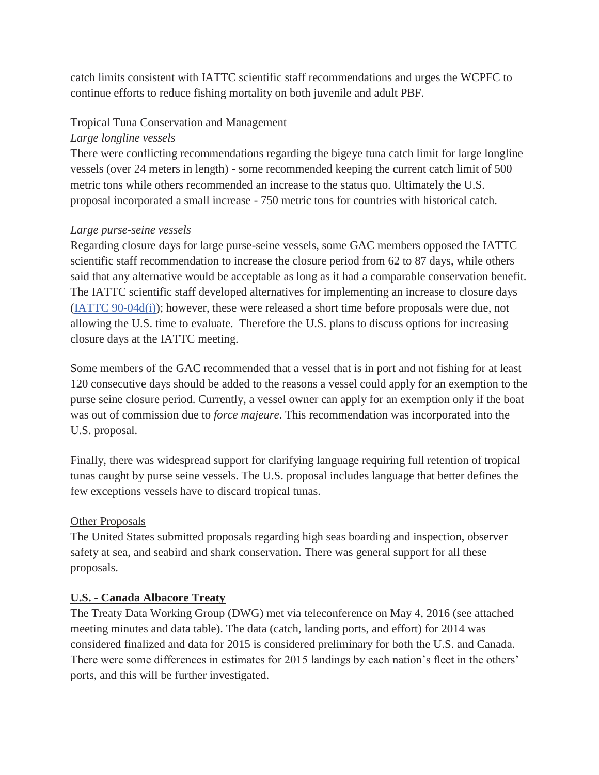catch limits consistent with IATTC scientific staff recommendations and urges the WCPFC to continue efforts to reduce fishing mortality on both juvenile and adult PBF.

#### Tropical Tuna Conservation and Management

#### *Large longline vessels*

There were conflicting recommendations regarding the bigeye tuna catch limit for large longline vessels (over 24 meters in length) - some recommended keeping the current catch limit of 500 metric tons while others recommended an increase to the status quo. Ultimately the U.S. proposal incorporated a small increase - 750 metric tons for countries with historical catch.

#### *Large purse-seine vessels*

Regarding closure days for large purse-seine vessels, some GAC members opposed the IATTC scientific staff recommendation to increase the closure period from 62 to 87 days, while others said that any alternative would be acceptable as long as it had a comparable conservation benefit. The IATTC scientific staff developed alternatives for implementing an increase to closure days (IATTC 90-04d(i)); however, these were released a short time before proposals were due, not allowing the U.S. time to evaluate. Therefore the U.S. plans to discuss options for increasing closure days at the IATTC meeting.

Some members of the GAC recommended that a vessel that is in port and not fishing for at least 120 consecutive days should be added to the reasons a vessel could apply for an exemption to the purse seine closure period. Currently, a vessel owner can apply for an exemption only if the boat was out of commission due to *force majeure*. This recommendation was incorporated into the U.S. proposal.

Finally, there was widespread support for clarifying language requiring full retention of tropical tunas caught by purse seine vessels. The U.S. proposal includes language that better defines the few exceptions vessels have to discard tropical tunas.

## Other Proposals

The United States submitted proposals regarding high seas boarding and inspection, observer safety at sea, and seabird and shark conservation. There was general support for all these proposals.

## **U.S. - Canada Albacore Treaty**

The Treaty Data Working Group (DWG) met via teleconference on May 4, 2016 (see attached meeting minutes and data table). The data (catch, landing ports, and effort) for 2014 was considered finalized and data for 2015 is considered preliminary for both the U.S. and Canada. There were some differences in estimates for 2015 landings by each nation's fleet in the others' ports, and this will be further investigated.